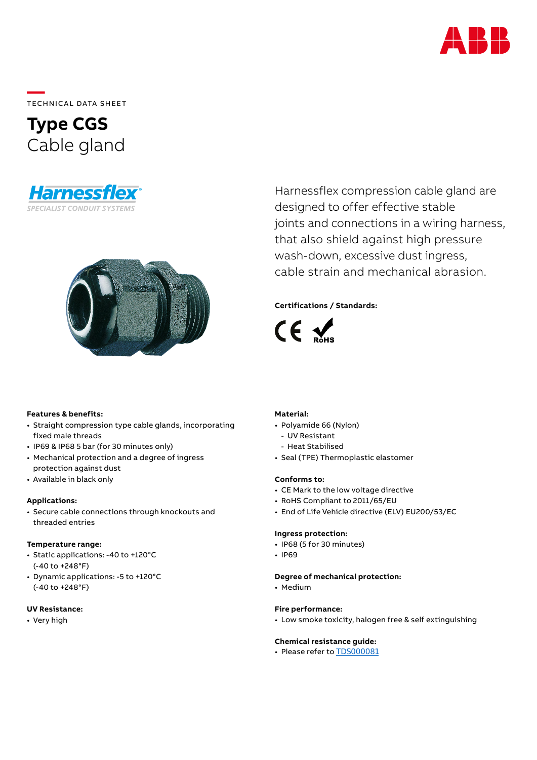

**—**  TECHNICAL DATA SHEET

# **Type CGS** Cable gland





Harnessflex compression cable gland are designed to offer effective stable joints and connections in a wiring harness, that also shield against high pressure wash-down, excessive dust ingress, cable strain and mechanical abrasion.

# **Certifications / Standards:**



# **Features & benefits:**

- Straight compression type cable glands, incorporating fixed male threads
- IP69 & IP68 5 bar (for 30 minutes only)
- Mechanical protection and a degree of ingress protection against dust
- Available in black only

#### **Applications:**

• Secure cable connections through knockouts and threaded entries

#### **Temperature range:**

- Static applications: -40 to +120°C (-40 to +248°F)
- Dynamic applications: -5 to +120°C (-40 to +248°F)

# **UV Resistance:**

• Very high

# **Material:**

- Polyamide 66 (Nylon)
	- UV Resistant
	- Heat Stabilised
- Seal (TPE) Thermoplastic elastomer

### **Conforms to:**

- CE Mark to the low voltage directive
- RoHS Compliant to 2011/65/EU
- End of Life Vehicle directive (ELV) EU200/53/EC

#### **Ingress protection:**

- IP68 (5 for 30 minutes)
- IP69

# **Degree of mechanical protection:**

• Medium

#### **Fire performance:**

• Low smoke toxicity, halogen free & self extinguishing

#### **Chemical resistance guide:**

• Please refer to [TDS000081](https://search.abb.com/library/Download.aspx?DocumentID=TDS000081&LanguageCode=en&DocumentPartId=&Action=Launch)